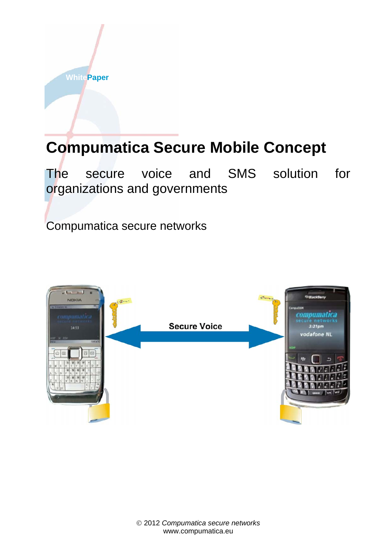

The secure voice and SMS solution for organizations and governments

Compumatica secure networks

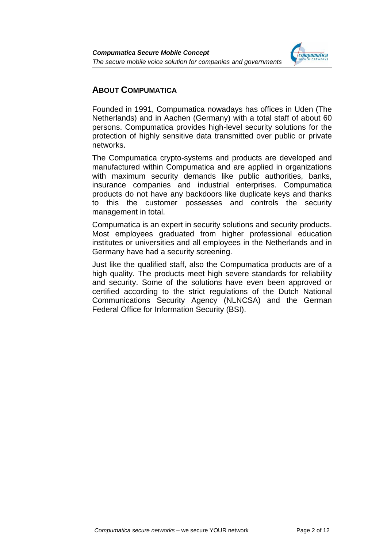

# **ABOUT COMPUMATICA**

Founded in 1991, Compumatica nowadays has offices in Uden (The Netherlands) and in Aachen (Germany) with a total staff of about 60 persons. Compumatica provides high-level security solutions for the protection of highly sensitive data transmitted over public or private networks.

The Compumatica crypto-systems and products are developed and manufactured within Compumatica and are applied in organizations with maximum security demands like public authorities, banks, insurance companies and industrial enterprises. Compumatica products do not have any backdoors like duplicate keys and thanks to this the customer possesses and controls the security management in total.

Compumatica is an expert in security solutions and security products. Most employees graduated from higher professional education institutes or universities and all employees in the Netherlands and in Germany have had a security screening.

Just like the qualified staff, also the Compumatica products are of a high quality. The products meet high severe standards for reliability and security. Some of the solutions have even been approved or certified according to the strict regulations of the Dutch National Communications Security Agency (NLNCSA) and the German Federal Office for Information Security (BSI).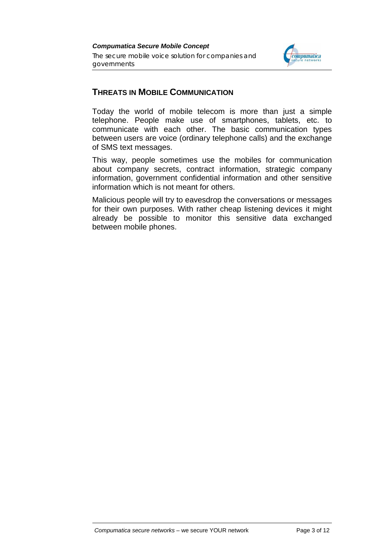

# **THREATS IN MOBILE COMMUNICATION**

Today the world of mobile telecom is more than just a simple telephone. People make use of smartphones, tablets, etc. to communicate with each other. The basic communication types between users are voice (ordinary telephone calls) and the exchange of SMS text messages.

This way, people sometimes use the mobiles for communication about company secrets, contract information, strategic company information, government confidential information and other sensitive information which is not meant for others.

Malicious people will try to eavesdrop the conversations or messages for their own purposes. With rather cheap listening devices it might already be possible to monitor this sensitive data exchanged between mobile phones.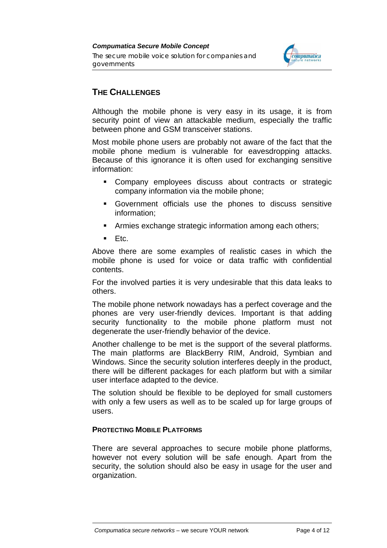

# **THE CHALLENGES**

Although the mobile phone is very easy in its usage, it is from security point of view an attackable medium, especially the traffic between phone and GSM transceiver stations.

Most mobile phone users are probably not aware of the fact that the mobile phone medium is vulnerable for eavesdropping attacks. Because of this ignorance it is often used for exchanging sensitive information:

- Company employees discuss about contracts or strategic company information via the mobile phone;
- Government officials use the phones to discuss sensitive information;
- **EXTERNITHER** Armies exchange strategic information among each others;
- $E_{\text{t}}$  Etc.

Above there are some examples of realistic cases in which the mobile phone is used for voice or data traffic with confidential contents.

For the involved parties it is very undesirable that this data leaks to others.

The mobile phone network nowadays has a perfect coverage and the phones are very user-friendly devices. Important is that adding security functionality to the mobile phone platform must not degenerate the user-friendly behavior of the device.

Another challenge to be met is the support of the several platforms. The main platforms are BlackBerry RIM, Android, Symbian and Windows. Since the security solution interferes deeply in the product, there will be different packages for each platform but with a similar user interface adapted to the device.

The solution should be flexible to be deployed for small customers with only a few users as well as to be scaled up for large groups of users.

# **PROTECTING MOBILE PLATFORMS**

There are several approaches to secure mobile phone platforms, however not every solution will be safe enough. Apart from the security, the solution should also be easy in usage for the user and organization.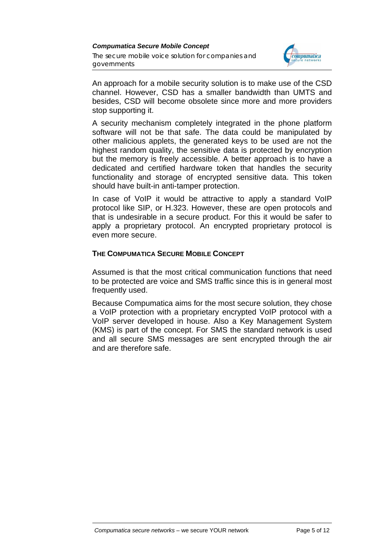*Compumatica Secure Mobile Concept The secure mobile voice solution for companies and governments*



An approach for a mobile security solution is to make use of the CSD channel. However, CSD has a smaller bandwidth than UMTS and besides, CSD will become obsolete since more and more providers stop supporting it.

A security mechanism completely integrated in the phone platform software will not be that safe. The data could be manipulated by other malicious applets, the generated keys to be used are not the highest random quality, the sensitive data is protected by encryption but the memory is freely accessible. A better approach is to have a dedicated and certified hardware token that handles the security functionality and storage of encrypted sensitive data. This token should have built-in anti-tamper protection.

In case of VoIP it would be attractive to apply a standard VoIP protocol like SIP, or H.323. However, these are open protocols and that is undesirable in a secure product. For this it would be safer to apply a proprietary protocol. An encrypted proprietary protocol is even more secure.

## **THE COMPUMATICA SECURE MOBILE CONCEPT**

Assumed is that the most critical communication functions that need to be protected are voice and SMS traffic since this is in general most frequently used.

Because Compumatica aims for the most secure solution, they chose a VoIP protection with a proprietary encrypted VoIP protocol with a VoIP server developed in house. Also a Key Management System (KMS) is part of the concept. For SMS the standard network is used and all secure SMS messages are sent encrypted through the air and are therefore safe.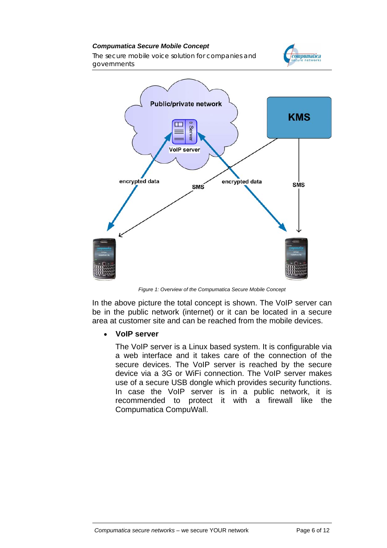*compumatica* 

*The secure mobile voice solution for companies and governments*



*Figure 1: Overview of the Compumatica Secure Mobile Concept*

In the above picture the total concept is shown. The VoIP server can be in the public network (internet) or it can be located in a secure area at customer site and can be reached from the mobile devices.

# • **VoIP server**

The VoIP server is a Linux based system. It is configurable via a web interface and it takes care of the connection of the secure devices. The VoIP server is reached by the secure device via a 3G or WiFi connection. The VoIP server makes use of a secure USB dongle which provides security functions. In case the VoIP server is in a public network, it is recommended to protect it with a firewall like the Compumatica CompuWall.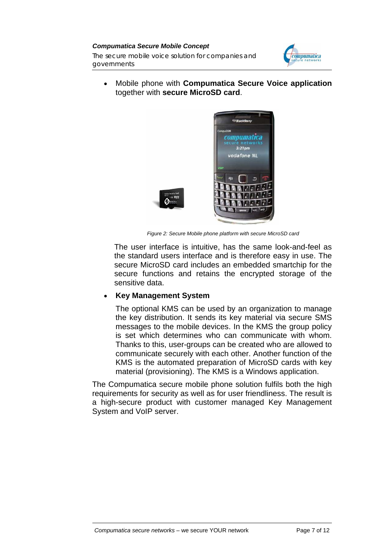*Compumatica Secure Mobile Concept The secure mobile voice solution for companies and governments*



• Mobile phone with **Compumatica Secure Voice application** together with **secure MicroSD card**.



*Figure 2: Secure Mobile phone platform with secure MicroSD card* 

The user interface is intuitive, has the same look-and-feel as the standard users interface and is therefore easy in use. The secure MicroSD card includes an embedded smartchip for the secure functions and retains the encrypted storage of the sensitive data.

# • **Key Management System**

The optional KMS can be used by an organization to manage the key distribution. It sends its key material via secure SMS messages to the mobile devices. In the KMS the group policy is set which determines who can communicate with whom. Thanks to this, user-groups can be created who are allowed to communicate securely with each other. Another function of the KMS is the automated preparation of MicroSD cards with key material (provisioning). The KMS is a Windows application.

The Compumatica secure mobile phone solution fulfils both the high requirements for security as well as for user friendliness. The result is a high-secure product with customer managed Key Management System and VoIP server.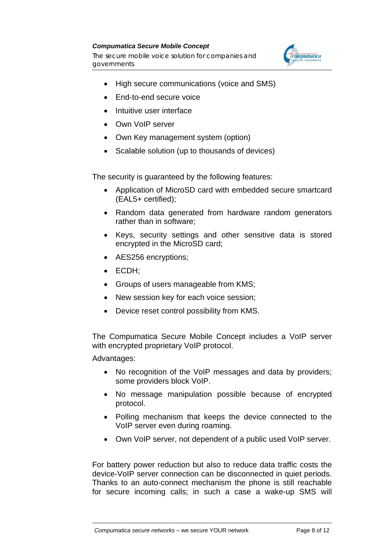*The secure mobile voice solution for companies and governments*



- High secure communications (voice and SMS)
- End-to-end secure voice
- Intuitive user interface
- Own VoIP server
- Own Key management system (option)
- Scalable solution (up to thousands of devices)

The security is guaranteed by the following features:

- Application of MicroSD card with embedded secure smartcard (EAL5+ certified);
- Random data generated from hardware random generators rather than in software;
- Keys, security settings and other sensitive data is stored encrypted in the MicroSD card;
- AES256 encryptions;
- ECDH;
- Groups of users manageable from KMS;
- New session key for each voice session;
- Device reset control possibility from KMS.

The Compumatica Secure Mobile Concept includes a VoIP server with encrypted proprietary VoIP protocol.

Advantages:

- No recognition of the VoIP messages and data by providers; some providers block VoIP.
- No message manipulation possible because of encrypted protocol.
- Polling mechanism that keeps the device connected to the VoIP server even during roaming.
- Own VoIP server, not dependent of a public used VoIP server.

For battery power reduction but also to reduce data traffic costs the device-VoIP server connection can be disconnected in quiet periods. Thanks to an auto-connect mechanism the phone is still reachable for secure incoming calls; in such a case a wake-up SMS will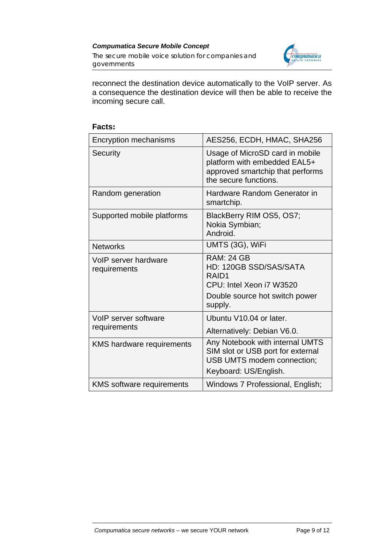

reconnect the destination device automatically to the VoIP server. As a consequence the destination device will then be able to receive the incoming secure call.

| Encryption mechanisms                | AES256, ECDH, HMAC, SHA256                                                                                                    |
|--------------------------------------|-------------------------------------------------------------------------------------------------------------------------------|
| Security                             | Usage of MicroSD card in mobile<br>platform with embedded EAL5+<br>approved smartchip that performs<br>the secure functions.  |
| Random generation                    | Hardware Random Generator in<br>smartchip.                                                                                    |
| Supported mobile platforms           | BlackBerry RIM OS5, OS7;<br>Nokia Symbian;<br>Android.                                                                        |
| <b>Networks</b>                      | UMTS (3G), WiFi                                                                                                               |
| VoIP server hardware<br>requirements | <b>RAM: 24 GB</b><br>HD: 120GB SSD/SAS/SATA<br>RAID1<br>CPU: Intel Xeon i7 W3520<br>Double source hot switch power<br>supply. |
| VoIP server software<br>requirements | Ubuntu V10.04 or later.<br>Alternatively: Debian V6.0.                                                                        |
| <b>KMS hardware requirements</b>     | Any Notebook with internal UMTS<br>SIM slot or USB port for external<br>USB UMTS modem connection;<br>Keyboard: US/English.   |
| <b>KMS</b> software requirements     | Windows 7 Professional, English;                                                                                              |

#### **Facts:**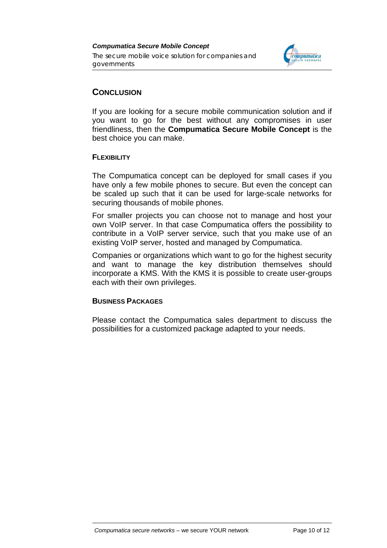

# **CONCLUSION**

If you are looking for a secure mobile communication solution and if you want to go for the best without any compromises in user friendliness, then the **Compumatica Secure Mobile Concept** is the best choice you can make.

# **FLEXIBILITY**

The Compumatica concept can be deployed for small cases if you have only a few mobile phones to secure. But even the concept can be scaled up such that it can be used for large-scale networks for securing thousands of mobile phones.

For smaller projects you can choose not to manage and host your own VoIP server. In that case Compumatica offers the possibility to contribute in a VoIP server service, such that you make use of an existing VoIP server, hosted and managed by Compumatica.

Companies or organizations which want to go for the highest security and want to manage the key distribution themselves should incorporate a KMS. With the KMS it is possible to create user-groups each with their own privileges.

# **BUSINESS PACKAGES**

Please contact the Compumatica sales department to discuss the possibilities for a customized package adapted to your needs.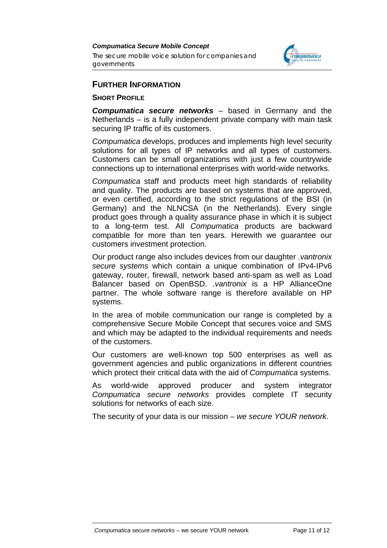*The secure mobile voice solution for companies and governments*



# **FURTHER INFORMATION**

## **SHORT PROFILE**

*Compumatica secure networks* – based in Germany and the Netherlands – is a fully independent private company with main task securing IP traffic of its customers.

*Compumatica* develops, produces and implements high level security solutions for all types of IP networks and all types of customers. Customers can be small organizations with just a few countrywide connections up to international enterprises with world-wide networks.

*Compumatica* staff and products meet high standards of reliability and quality. The products are based on systems that are approved, or even certified, according to the strict regulations of the BSI (in Germany) and the NLNCSA (in the Netherlands). Every single product goes through a quality assurance phase in which it is subject to a long-term test. All *Compumatica* products are backward compatible for more than ten years. Herewith we guarantee our customers investment protection.

Our product range also includes devices from our daughter *.vantronix secure systems* which contain a unique combination of IPv4-IPv6 gateway, router, firewall, network based anti-spam as well as Load Balancer based on OpenBSD. *.vantronix* is a HP AllianceOne partner. The whole software range is therefore available on HP systems.

In the area of mobile communication our range is completed by a comprehensive Secure Mobile Concept that secures voice and SMS and which may be adapted to the individual requirements and needs of the customers.

Our customers are well-known top 500 enterprises as well as government agencies and public organizations in different countries which protect their critical data with the aid of *Compumatica* systems.

As world-wide approved producer and system integrator *Compumatica secure networks* provides complete IT security solutions for networks of each size.

The security of your data is our mission – *we secure YOUR network*.